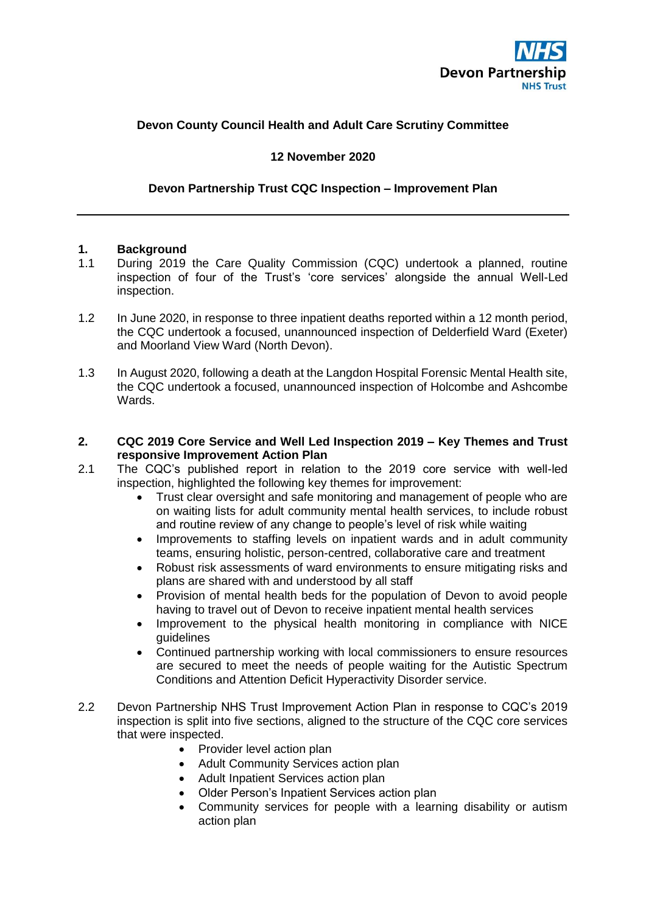

# **Devon County Council Health and Adult Care Scrutiny Committee**

#### **12 November 2020**

#### **Devon Partnership Trust CQC Inspection – Improvement Plan**

#### **1. Background**

- 1.1 During 2019 the Care Quality Commission (CQC) undertook a planned, routine inspection of four of the Trust's 'core services' alongside the annual Well-Led inspection.
- 1.2 In June 2020, in response to three inpatient deaths reported within a 12 month period, the CQC undertook a focused, unannounced inspection of Delderfield Ward (Exeter) and Moorland View Ward (North Devon).
- 1.3 In August 2020, following a death at the Langdon Hospital Forensic Mental Health site, the CQC undertook a focused, unannounced inspection of Holcombe and Ashcombe Wards.

#### **2. CQC 2019 Core Service and Well Led Inspection 2019 – Key Themes and Trust responsive Improvement Action Plan**

- 2.1 The CQC's published report in relation to the 2019 core service with well-led inspection, highlighted the following key themes for improvement:
	- Trust clear oversight and safe monitoring and management of people who are on waiting lists for adult community mental health services, to include robust and routine review of any change to people's level of risk while waiting
	- Improvements to staffing levels on inpatient wards and in adult community teams, ensuring holistic, person-centred, collaborative care and treatment
	- Robust risk assessments of ward environments to ensure mitigating risks and plans are shared with and understood by all staff
	- Provision of mental health beds for the population of Devon to avoid people having to travel out of Devon to receive inpatient mental health services
	- Improvement to the physical health monitoring in compliance with NICE guidelines
	- Continued partnership working with local commissioners to ensure resources are secured to meet the needs of people waiting for the Autistic Spectrum Conditions and Attention Deficit Hyperactivity Disorder service.
- 2.2 Devon Partnership NHS Trust Improvement Action Plan in response to CQC's 2019 inspection is split into five sections, aligned to the structure of the CQC core services that were inspected.
	- Provider level action plan
	- Adult Community Services action plan
	- Adult Inpatient Services action plan
	- Older Person's Inpatient Services action plan
	- Community services for people with a learning disability or autism action plan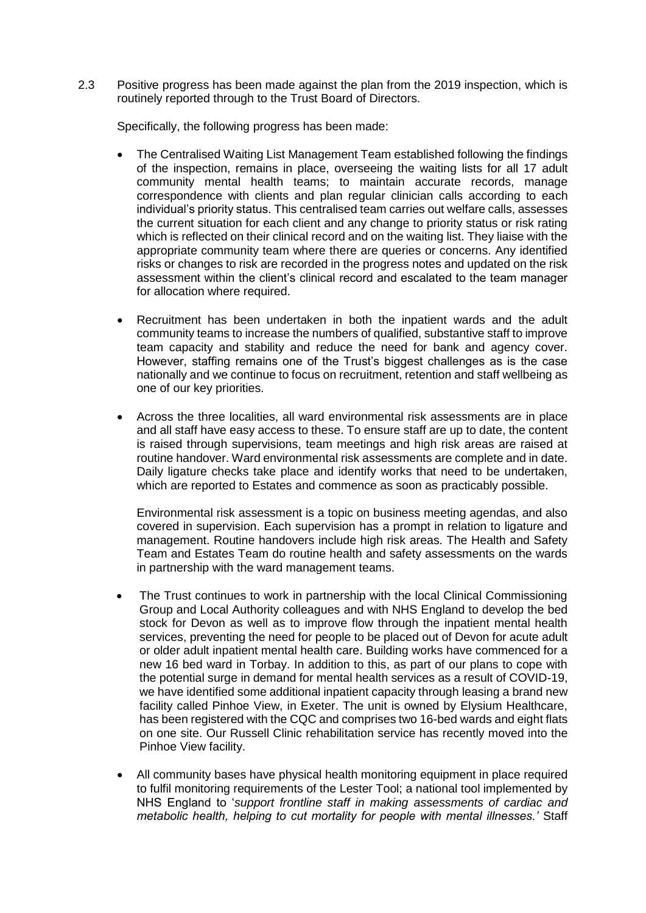2.3 Positive progress has been made against the plan from the 2019 inspection, which is routinely reported through to the Trust Board of Directors.

Specifically, the following progress has been made:

- The Centralised Waiting List Management Team established following the findings of the inspection, remains in place, overseeing the waiting lists for all 17 adult community mental health teams; to maintain accurate records, manage correspondence with clients and plan regular clinician calls according to each individual's priority status. This centralised team carries out welfare calls, assesses the current situation for each client and any change to priority status or risk rating which is reflected on their clinical record and on the waiting list. They liaise with the appropriate community team where there are queries or concerns. Any identified risks or changes to risk are recorded in the progress notes and updated on the risk assessment within the client's clinical record and escalated to the team manager for allocation where required.
- Recruitment has been undertaken in both the inpatient wards and the adult community teams to increase the numbers of qualified, substantive staff to improve team capacity and stability and reduce the need for bank and agency cover. However, staffing remains one of the Trust's biggest challenges as is the case nationally and we continue to focus on recruitment, retention and staff wellbeing as one of our key priorities.
- Across the three localities, all ward environmental risk assessments are in place and all staff have easy access to these. To ensure staff are up to date, the content is raised through supervisions, team meetings and high risk areas are raised at routine handover. Ward environmental risk assessments are complete and in date. Daily ligature checks take place and identify works that need to be undertaken, which are reported to Estates and commence as soon as practicably possible.

Environmental risk assessment is a topic on business meeting agendas, and also covered in supervision. Each supervision has a prompt in relation to ligature and management. Routine handovers include high risk areas. The Health and Safety Team and Estates Team do routine health and safety assessments on the wards in partnership with the ward management teams.

- The Trust continues to work in partnership with the local Clinical Commissioning Group and Local Authority colleagues and with NHS England to develop the bed stock for Devon as well as to improve flow through the inpatient mental health services, preventing the need for people to be placed out of Devon for acute adult or older adult inpatient mental health care. Building works have commenced for a new 16 bed ward in Torbay. In addition to this, as part of our plans to cope with the potential surge in demand for mental health services as a result of COVID-19, we have identified some additional inpatient capacity through leasing a brand new facility called Pinhoe View, in Exeter. The unit is owned by Elysium Healthcare, has been registered with the CQC and comprises two 16-bed wards and eight flats on one site. Our Russell Clinic rehabilitation service has recently moved into the Pinhoe View facility.
- All community bases have physical health monitoring equipment in place required to fulfil monitoring requirements of the Lester Tool; a national tool implemented by NHS England to '*support frontline staff in making assessments of cardiac and metabolic health, helping to cut mortality for people with mental illnesses.'* Staff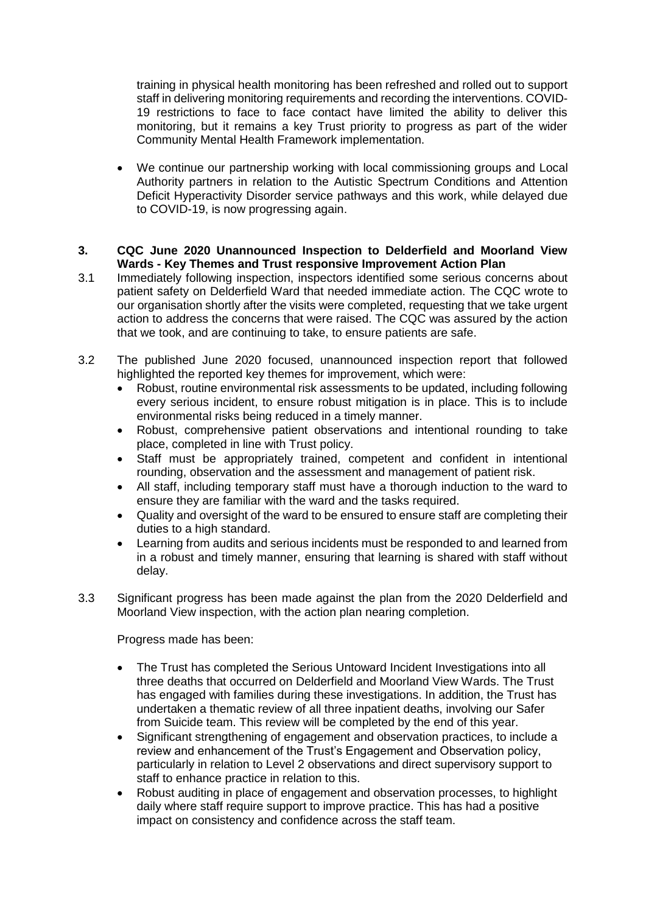training in physical health monitoring has been refreshed and rolled out to support staff in delivering monitoring requirements and recording the interventions. COVID-19 restrictions to face to face contact have limited the ability to deliver this monitoring, but it remains a key Trust priority to progress as part of the wider Community Mental Health Framework implementation.

 We continue our partnership working with local commissioning groups and Local Authority partners in relation to the Autistic Spectrum Conditions and Attention Deficit Hyperactivity Disorder service pathways and this work, while delayed due to COVID-19, is now progressing again.

### **3. CQC June 2020 Unannounced Inspection to Delderfield and Moorland View Wards - Key Themes and Trust responsive Improvement Action Plan**

- 3.1 Immediately following inspection, inspectors identified some serious concerns about patient safety on Delderfield Ward that needed immediate action. The CQC wrote to our organisation shortly after the visits were completed, requesting that we take urgent action to address the concerns that were raised. The CQC was assured by the action that we took, and are continuing to take, to ensure patients are safe.
- 3.2 The published June 2020 focused, unannounced inspection report that followed highlighted the reported key themes for improvement, which were:
	- Robust, routine environmental risk assessments to be updated, including following every serious incident, to ensure robust mitigation is in place. This is to include environmental risks being reduced in a timely manner.
	- Robust, comprehensive patient observations and intentional rounding to take place, completed in line with Trust policy.
	- Staff must be appropriately trained, competent and confident in intentional rounding, observation and the assessment and management of patient risk.
	- All staff, including temporary staff must have a thorough induction to the ward to ensure they are familiar with the ward and the tasks required.
	- Quality and oversight of the ward to be ensured to ensure staff are completing their duties to a high standard.
	- Learning from audits and serious incidents must be responded to and learned from in a robust and timely manner, ensuring that learning is shared with staff without delay.
- 3.3 Significant progress has been made against the plan from the 2020 Delderfield and Moorland View inspection, with the action plan nearing completion.

Progress made has been:

- The Trust has completed the Serious Untoward Incident Investigations into all three deaths that occurred on Delderfield and Moorland View Wards. The Trust has engaged with families during these investigations. In addition, the Trust has undertaken a thematic review of all three inpatient deaths, involving our Safer from Suicide team. This review will be completed by the end of this year.
- Significant strengthening of engagement and observation practices, to include a review and enhancement of the Trust's Engagement and Observation policy, particularly in relation to Level 2 observations and direct supervisory support to staff to enhance practice in relation to this.
- Robust auditing in place of engagement and observation processes, to highlight daily where staff require support to improve practice. This has had a positive impact on consistency and confidence across the staff team.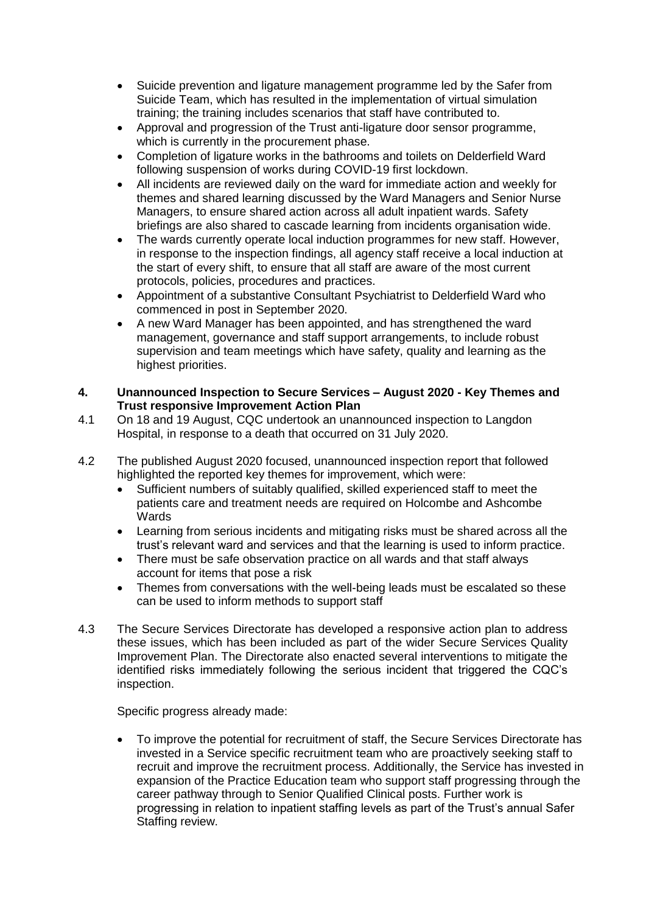- Suicide prevention and ligature management programme led by the Safer from Suicide Team, which has resulted in the implementation of virtual simulation training; the training includes scenarios that staff have contributed to.
- Approval and progression of the Trust anti-ligature door sensor programme, which is currently in the procurement phase.
- Completion of ligature works in the bathrooms and toilets on Delderfield Ward following suspension of works during COVID-19 first lockdown.
- All incidents are reviewed daily on the ward for immediate action and weekly for themes and shared learning discussed by the Ward Managers and Senior Nurse Managers, to ensure shared action across all adult inpatient wards. Safety briefings are also shared to cascade learning from incidents organisation wide.
- The wards currently operate local induction programmes for new staff. However, in response to the inspection findings, all agency staff receive a local induction at the start of every shift, to ensure that all staff are aware of the most current protocols, policies, procedures and practices.
- Appointment of a substantive Consultant Psychiatrist to Delderfield Ward who commenced in post in September 2020.
- A new Ward Manager has been appointed, and has strengthened the ward management, governance and staff support arrangements, to include robust supervision and team meetings which have safety, quality and learning as the highest priorities.
- **4. Unannounced Inspection to Secure Services – August 2020 - Key Themes and Trust responsive Improvement Action Plan**
- 4.1 On 18 and 19 August, CQC undertook an unannounced inspection to Langdon Hospital, in response to a death that occurred on 31 July 2020.
- 4.2 The published August 2020 focused, unannounced inspection report that followed highlighted the reported key themes for improvement, which were:
	- Sufficient numbers of suitably qualified, skilled experienced staff to meet the patients care and treatment needs are required on Holcombe and Ashcombe **Wards**
	- Learning from serious incidents and mitigating risks must be shared across all the trust's relevant ward and services and that the learning is used to inform practice.
	- There must be safe observation practice on all wards and that staff always account for items that pose a risk
	- Themes from conversations with the well-being leads must be escalated so these can be used to inform methods to support staff
- 4.3 The Secure Services Directorate has developed a responsive action plan to address these issues, which has been included as part of the wider Secure Services Quality Improvement Plan. The Directorate also enacted several interventions to mitigate the identified risks immediately following the serious incident that triggered the CQC's inspection.

Specific progress already made:

 To improve the potential for recruitment of staff, the Secure Services Directorate has invested in a Service specific recruitment team who are proactively seeking staff to recruit and improve the recruitment process. Additionally, the Service has invested in expansion of the Practice Education team who support staff progressing through the career pathway through to Senior Qualified Clinical posts. Further work is progressing in relation to inpatient staffing levels as part of the Trust's annual Safer Staffing review.